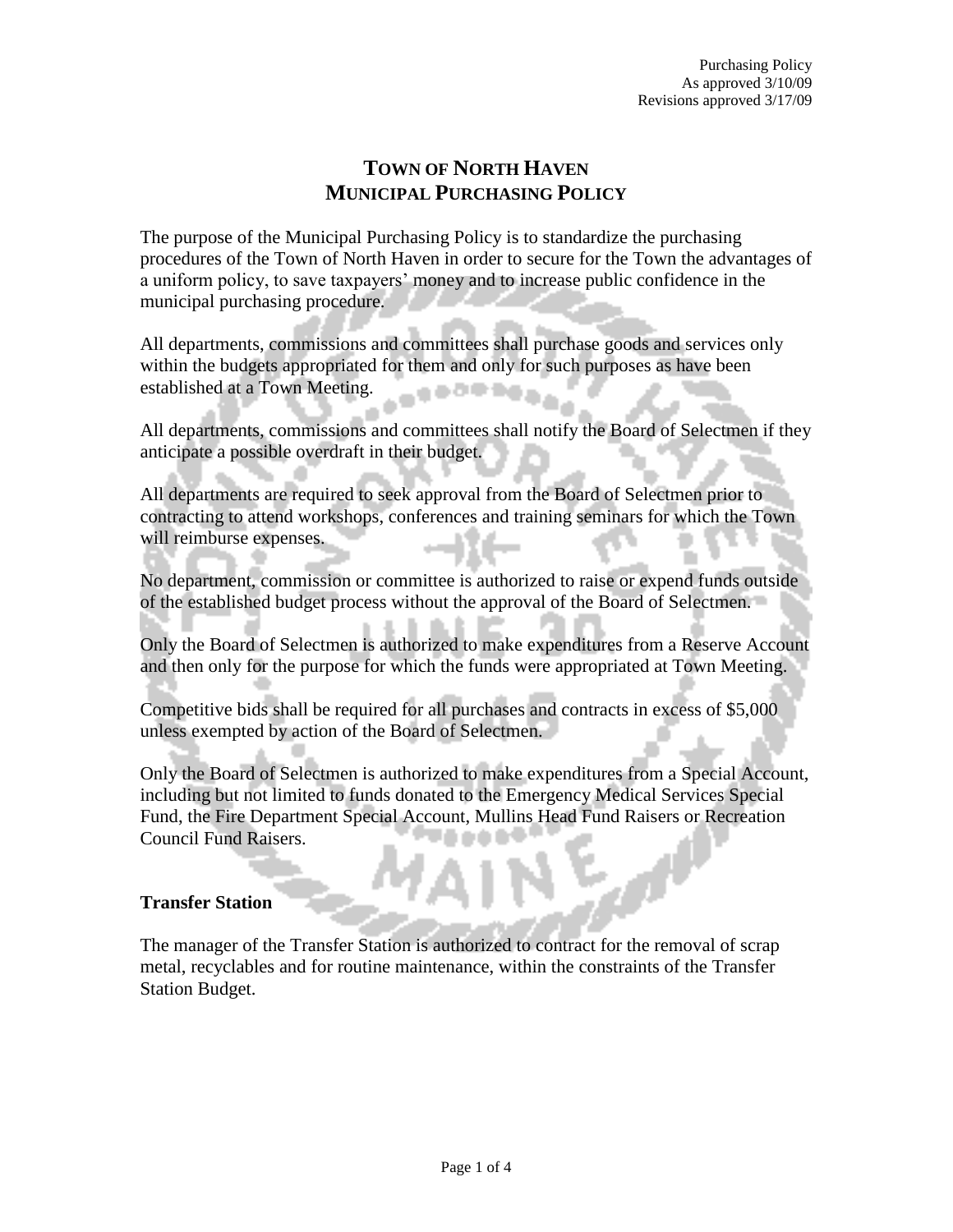# **TOWN OF NORTH HAVEN MUNICIPAL PURCHASING POLICY**

The purpose of the Municipal Purchasing Policy is to standardize the purchasing procedures of the Town of North Haven in order to secure for the Town the advantages of a uniform policy, to save taxpayers' money and to increase public confidence in the municipal purchasing procedure.

All departments, commissions and committees shall purchase goods and services only within the budgets appropriated for them and only for such purposes as have been established at a Town Meeting.

All departments, commissions and committees shall notify the Board of Selectmen if they anticipate a possible overdraft in their budget.

All departments are required to seek approval from the Board of Selectmen prior to contracting to attend workshops, conferences and training seminars for which the Town will reimburse expenses.

No department, commission or committee is authorized to raise or expend funds outside of the established budget process without the approval of the Board of Selectmen.

Only the Board of Selectmen is authorized to make expenditures from a Reserve Account and then only for the purpose for which the funds were appropriated at Town Meeting.

Competitive bids shall be required for all purchases and contracts in excess of \$5,000 unless exempted by action of the Board of Selectmen.

Only the Board of Selectmen is authorized to make expenditures from a Special Account, including but not limited to funds donated to the Emergency Medical Services Special Fund, the Fire Department Special Account, Mullins Head Fund Raisers or Recreation Council Fund Raisers.

## **Transfer Station**

The manager of the Transfer Station is authorized to contract for the removal of scrap metal, recyclables and for routine maintenance, within the constraints of the Transfer Station Budget.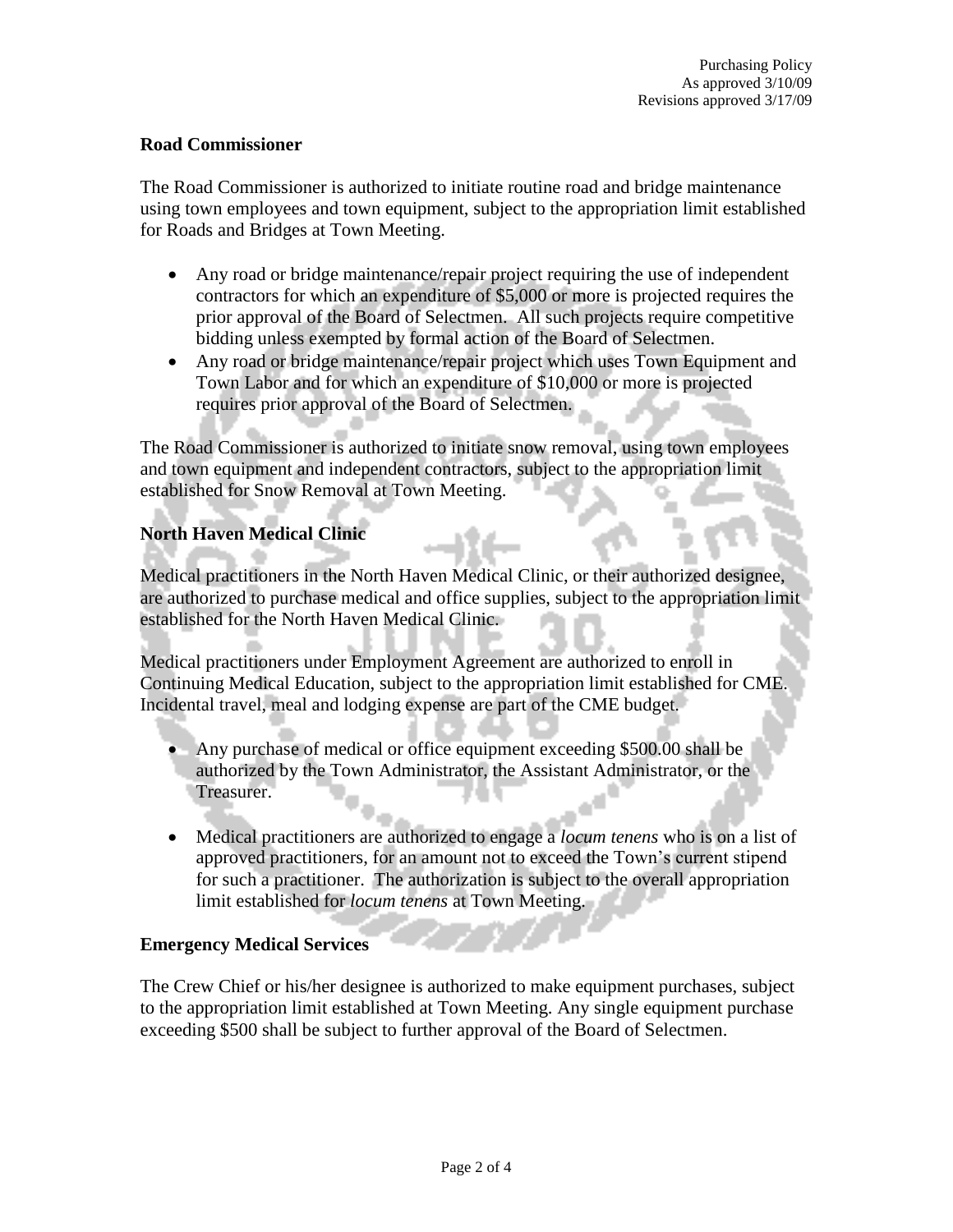## **Road Commissioner**

The Road Commissioner is authorized to initiate routine road and bridge maintenance using town employees and town equipment, subject to the appropriation limit established for Roads and Bridges at Town Meeting.

- Any road or bridge maintenance/repair project requiring the use of independent contractors for which an expenditure of \$5,000 or more is projected requires the prior approval of the Board of Selectmen. All such projects require competitive bidding unless exempted by formal action of the Board of Selectmen.
- Any road or bridge maintenance/repair project which uses Town Equipment and Town Labor and for which an expenditure of \$10,000 or more is projected requires prior approval of the Board of Selectmen.

The Road Commissioner is authorized to initiate snow removal, using town employees and town equipment and independent contractors, subject to the appropriation limit established for Snow Removal at Town Meeting.

# **North Haven Medical Clinic**

Medical practitioners in the North Haven Medical Clinic, or their authorized designee, are authorized to purchase medical and office supplies, subject to the appropriation limit established for the North Haven Medical Clinic.

Medical practitioners under Employment Agreement are authorized to enroll in Continuing Medical Education, subject to the appropriation limit established for CME. Incidental travel, meal and lodging expense are part of the CME budget.

- Any purchase of medical or office equipment exceeding \$500.00 shall be authorized by the Town Administrator, the Assistant Administrator, or the Treasurer.
- Medical practitioners are authorized to engage a *locum tenens* who is on a list of approved practitioners, for an amount not to exceed the Town's current stipend for such a practitioner. The authorization is subject to the overall appropriation limit established for *locum tenens* at Town Meeting.

# **Emergency Medical Services**

The Crew Chief or his/her designee is authorized to make equipment purchases, subject to the appropriation limit established at Town Meeting. Any single equipment purchase exceeding \$500 shall be subject to further approval of the Board of Selectmen.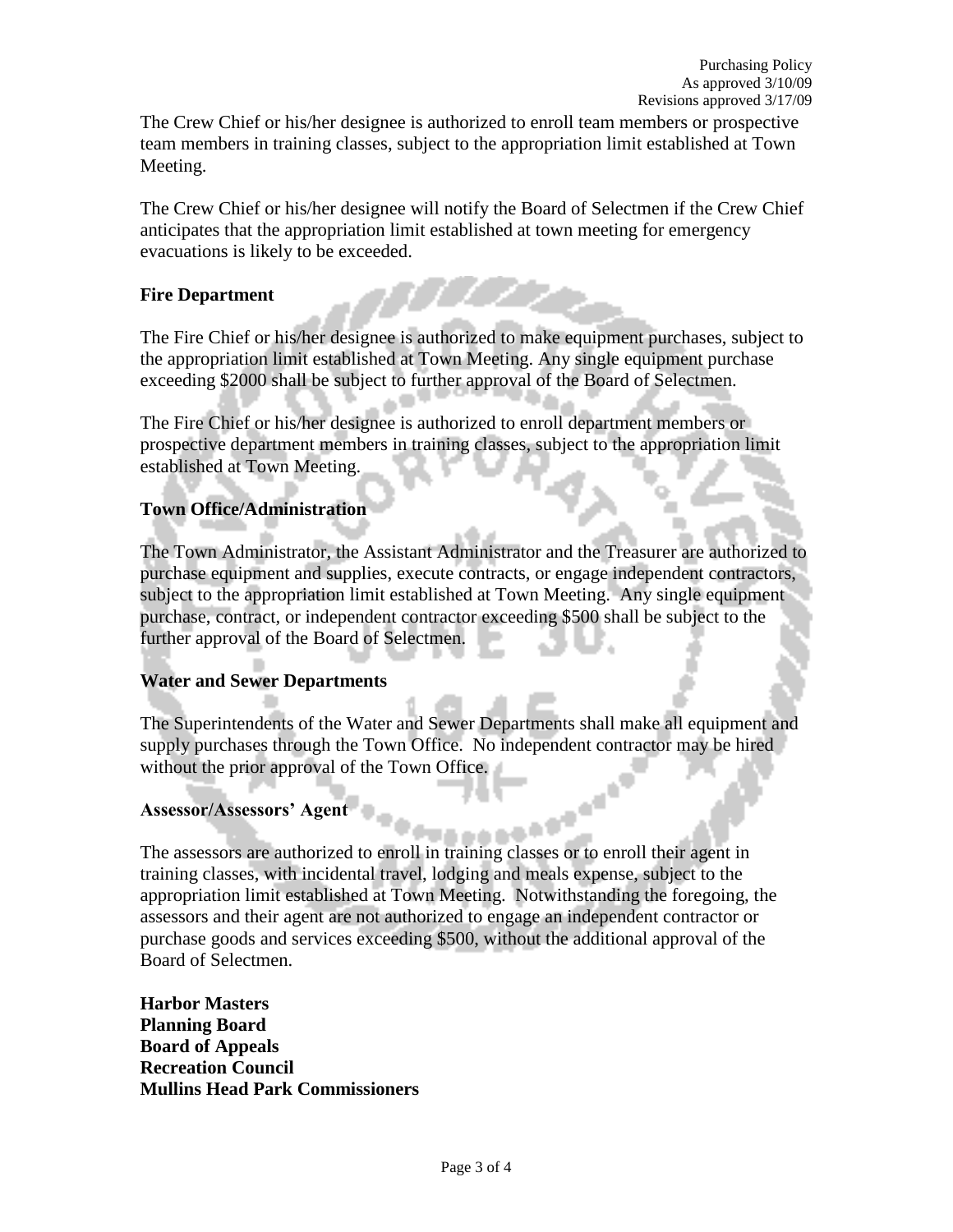The Crew Chief or his/her designee is authorized to enroll team members or prospective team members in training classes, subject to the appropriation limit established at Town Meeting.

The Crew Chief or his/her designee will notify the Board of Selectmen if the Crew Chief anticipates that the appropriation limit established at town meeting for emergency evacuations is likely to be exceeded.

## **Fire Department**

The Fire Chief or his/her designee is authorized to make equipment purchases, subject to the appropriation limit established at Town Meeting. Any single equipment purchase exceeding \$2000 shall be subject to further approval of the Board of Selectmen.

The Fire Chief or his/her designee is authorized to enroll department members or prospective department members in training classes, subject to the appropriation limit established at Town Meeting.

# **Town Office/Administration**

The Town Administrator, the Assistant Administrator and the Treasurer are authorized to purchase equipment and supplies, execute contracts, or engage independent contractors, subject to the appropriation limit established at Town Meeting. Any single equipment purchase, contract, or independent contractor exceeding \$500 shall be subject to the further approval of the Board of Selectmen.

## **Water and Sewer Departments**

The Superintendents of the Water and Sewer Departments shall make all equipment and supply purchases through the Town Office. No independent contractor may be hired without the prior approval of the Town Office.

## **Assessor/Assessors' Agent**

The assessors are authorized to enroll in training classes or to enroll their agent in training classes, with incidental travel, lodging and meals expense, subject to the appropriation limit established at Town Meeting. Notwithstanding the foregoing, the assessors and their agent are not authorized to engage an independent contractor or purchase goods and services exceeding \$500, without the additional approval of the Board of Selectmen.

**Harbor Masters Planning Board Board of Appeals Recreation Council Mullins Head Park Commissioners**